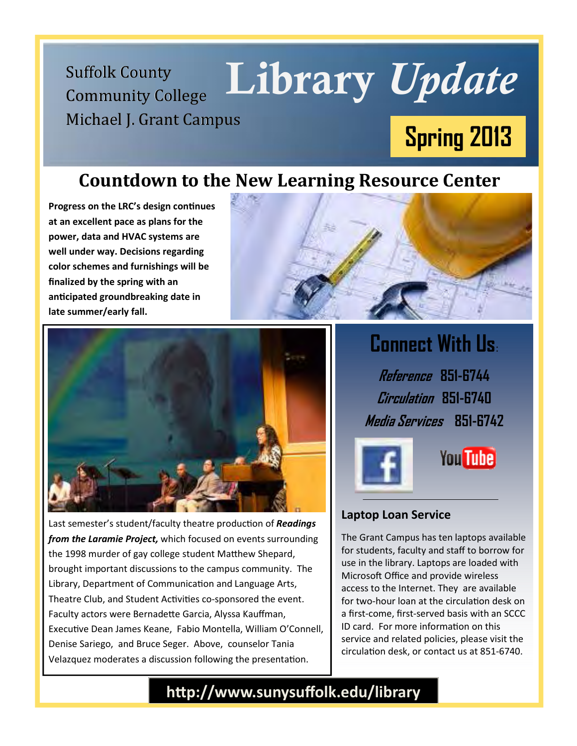**Community College** Michael J. Grant Campus

# Suffolk County Library Update **Spring 2013**

### **Countdown to the New Learning Resource Center**

**Progress on the LRC's design continues at an excellent pace as plans for the power, data and HVAC systems are well under way. Decisions regarding color schemes and furnishings will be finalized by the spring with an ancipated groundbreaking date in late summer/early fall.** 





Last semester's student/faculty theatre production of *Readings from the Laramie Project,* which focused on events surrounding the 1998 murder of gay college student Matthew Shepard, brought important discussions to the campus community. The Library, Department of Communication and Language Arts, Theatre Club, and Student Activities co-sponsored the event. Faculty actors were Bernadette Garcia, Alyssa Kauffman, Executive Dean James Keane, Fabio Montella, William O'Connell, Denise Sariego, and Bruce Seger. Above, counselor Tania Velazquez moderates a discussion following the presentation.

### **Connect With Us**:

**Reference 851-6744 Circulation 851-6740 Media Services 851-6742** 



## **You Tube**

#### **Laptop Loan Service**

The Grant Campus has ten laptops available for students, faculty and staff to borrow for use in the library. Laptops are loaded with Microsoft Office and provide wireless access to the Internet. They are available for two-hour loan at the circulation desk on a first-come, first-served basis with an SCCC ID card. For more information on this service and related policies, please visit the circulation desk, or contact us at 851-6740.

http://www.sunysuffolk.edu/library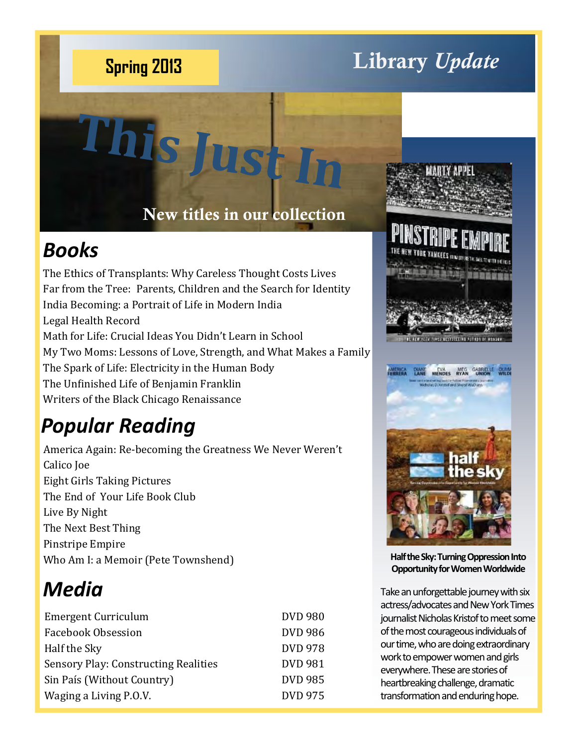# **Library** *Update* **Spring 2013**

#### **New titles in our collection**

### *Books*

The Ethics of Transplants: Why Careless Thought Costs Lives Far from the Tree: Parents, Children and the Search for Identity India Becoming: a Portrait of Life in Modern India Legal Health Record Math for Life: Crucial Ideas You Didn't Learn in School My Two Moms: Lessons of Love, Strength, and What Makes a Family The Spark of Life: Electricity in the Human Body The Unfinished Life of Benjamin Franklin Writers of the Black Chicago Renaissance

**This Just In**

### *Popular Reading*

America Again: Re-becoming the Greatness We Never Weren't Calico Joe Eight Girls Taking Pictures The End of Your Life Book Club Live By Night The Next Best Thing Pinstripe Empire Who Am I: a Memoir (Pete Townshend)

### *Media*

| <b>Emergent Curriculum</b>           | <b>DVD 980</b> |
|--------------------------------------|----------------|
| Facebook Obsession                   | <b>DVD 986</b> |
| Half the Sky                         | <b>DVD 978</b> |
| Sensory Play: Constructing Realities | <b>DVD 981</b> |
| Sin País (Without Country)           | <b>DVD 985</b> |
| Waging a Living P.O.V.               | <b>DVD 975</b> |
|                                      |                |





**Half the Sky: Turning Oppression Into Opportunity for Women Worldwide** 

Take an unforgettable journey with six actress/advocates and New York Times journalist Nicholas Kristof to meet some of the most courageous individuals of our time, who are doing extraordinary work to empower women and girls everywhere. These are stories of heartbreaking challenge, dramatic transformation and enduring hope.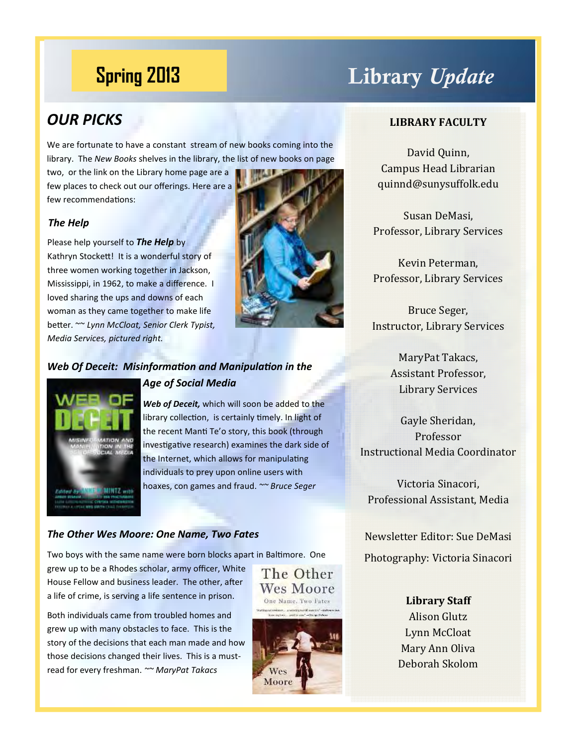### **Library** *Update* **Spring 2013**

#### *OUR PICKS*

We are fortunate to have a constant stream of new books coming into the library. The *New Books* shelves in the library, the list of new books on page

two, or the link on the Library home page are a few places to check out our offerings. Here are a few recommendations:

#### *The Help*

Please help yourself to *The Help* by Kathryn Stockett! It is a wonderful story of three women working together in Jackson, Mississippi, in 1962, to make a difference. I loved sharing the ups and downs of each woman as they came together to make life better. ~~ *Lynn McCloat, Senior Clerk Typist, Media Services, pictured right.* 



#### **Web Of Deceit: Misinformation and Manipulation in the**



#### *Age of Social Media*

*Web of Deceit,* which will soon be added to the library collection, is certainly timely. In light of the recent Manti Te'o story, this book (through investigative research) examines the dark side of the Internet, which allows for manipulating individuals to prey upon online users with hoaxes, con games and fraud. *~~ Bruce Seger*

#### *The Other Wes Moore: One Name, Two Fates*

Two boys with the same name were born blocks apart in Baltimore. One

grew up to be a Rhodes scholar, army officer, White House Fellow and business leader. The other, after a life of crime, is serving a life sentence in prison.

Both individuals came from troubled homes and grew up with many obstacles to face. This is the story of the decisions that each man made and how those decisions changed their lives. This is a mustread for every freshman. *~~ MaryPat Takacs* 





#### **LIBRARY FACULTY**

David Ouinn, Campus Head Librarian quinnd@sunysuffolk.edu 

Susan DeMasi, Professor, Library Services

Kevin Peterman, Professor, Library Services

Bruce Seger, **Instructor, Library Services** 

> MaryPat Takacs, Assistant Professor, Library Services

Gayle Sheridan, Professor Instructional Media Coordinator 

Victoria Sinacori, Professional Assistant, Media

Newsletter Editor: Sue DeMasi Photography: Victoria Sinacori

> **Library Staff Alison Glutz** Lynn McCloat Mary Ann Oliva Deborah Skolom